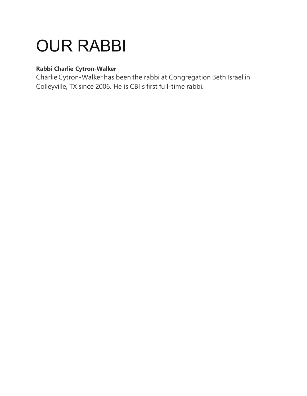## OUR RABBI

## **Rabbi Charlie Cytron-Walker**

Charlie Cytron-Walker has been the rabbi at Congregation Beth Israel in Colleyville, TX since 2006. He is CBI's first full-time rabbi.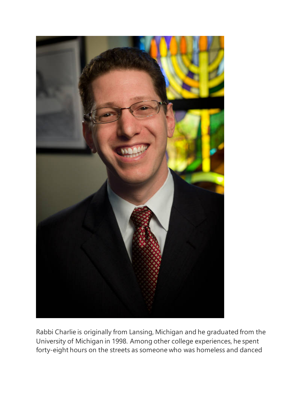

Rabbi Charlie is originally from Lansing, Michigan and he graduated from the University of Michigan in 1998. Among other college experiences, he spent forty-eight hours on the streets as someone who was homeless and danced